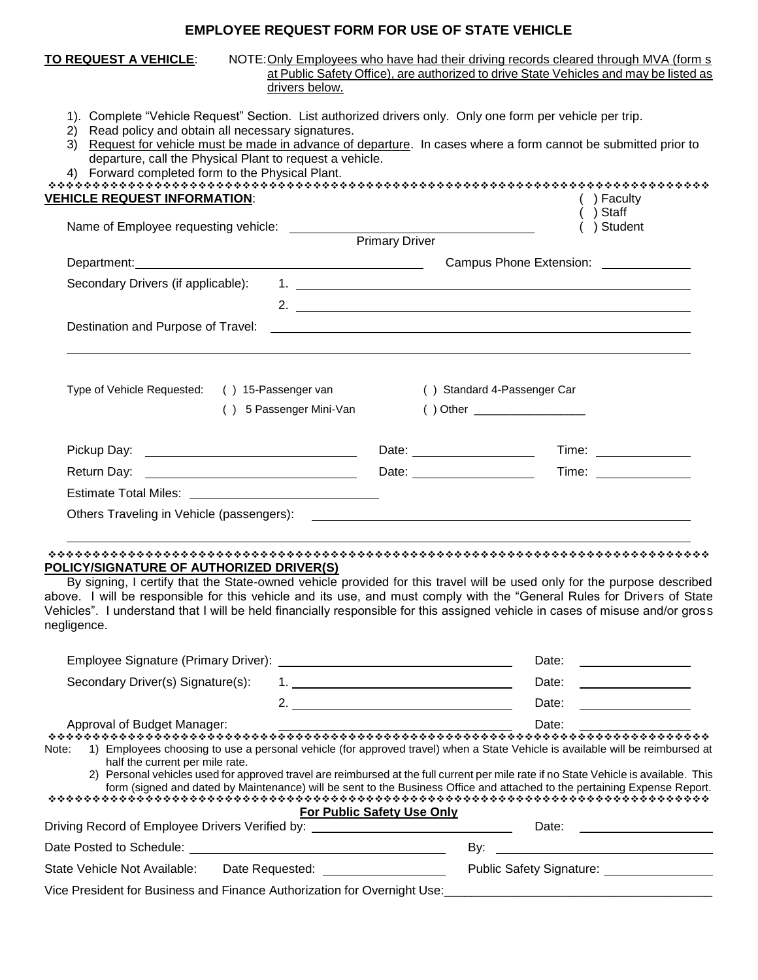## **EMPLOYEE REQUEST FORM FOR USE OF STATE VEHICLE**

| <b>TO REQUEST A VEHICLE:</b><br>drivers below.                                                                                                                                                                                                                                                                                                                                             |                | NOTE: Only Employees who have had their driving records cleared through MVA (form s)<br>at Public Safety Office), are authorized to drive State Vehicles and may be listed as |
|--------------------------------------------------------------------------------------------------------------------------------------------------------------------------------------------------------------------------------------------------------------------------------------------------------------------------------------------------------------------------------------------|----------------|-------------------------------------------------------------------------------------------------------------------------------------------------------------------------------|
| 1). Complete "Vehicle Request" Section. List authorized drivers only. Only one form per vehicle per trip.<br>Read policy and obtain all necessary signatures.<br>(2)<br>3) Request for vehicle must be made in advance of departure. In cases where a form cannot be submitted prior to<br>departure, call the Physical Plant to request a vehicle.<br><b>VEHICLE REQUEST INFORMATION:</b> |                | ) Faculty                                                                                                                                                                     |
|                                                                                                                                                                                                                                                                                                                                                                                            |                | ) Staff                                                                                                                                                                       |
| Name of Employee requesting vehicle: __________                                                                                                                                                                                                                                                                                                                                            | Primary Driver | ) Student                                                                                                                                                                     |
| Department: Department:                                                                                                                                                                                                                                                                                                                                                                    |                |                                                                                                                                                                               |
| Secondary Drivers (if applicable):<br>Destination and Purpose of Travel:                                                                                                                                                                                                                                                                                                                   |                | 2. $\qquad \qquad$                                                                                                                                                            |
| Type of Vehicle Requested:<br>() 15-Passenger van                                                                                                                                                                                                                                                                                                                                          |                | () Standard 4-Passenger Car                                                                                                                                                   |
| () 5 Passenger Mini-Van                                                                                                                                                                                                                                                                                                                                                                    |                |                                                                                                                                                                               |
|                                                                                                                                                                                                                                                                                                                                                                                            |                |                                                                                                                                                                               |
|                                                                                                                                                                                                                                                                                                                                                                                            |                |                                                                                                                                                                               |
|                                                                                                                                                                                                                                                                                                                                                                                            |                |                                                                                                                                                                               |
|                                                                                                                                                                                                                                                                                                                                                                                            |                |                                                                                                                                                                               |
|                                                                                                                                                                                                                                                                                                                                                                                            |                |                                                                                                                                                                               |
| POLICY/SIGNATURE OF AUTHORIZED DRIVER(S)<br>By signing, I certify that the State-owned vehicle provided for this travel will be used only for the purpose described                                                                                                                                                                                                                        |                |                                                                                                                                                                               |

above. I will be responsible for this vehicle and its use, and must comply with the "General Rules for Drivers of State Vehicles". I understand that I will be held financially responsible for this assigned vehicle in cases of misuse and/or gross negligence.

|                                                                                                                                                | Date:                                                                                                                                                                                                                                                                                                                                                                                                                                    |
|------------------------------------------------------------------------------------------------------------------------------------------------|------------------------------------------------------------------------------------------------------------------------------------------------------------------------------------------------------------------------------------------------------------------------------------------------------------------------------------------------------------------------------------------------------------------------------------------|
| Secondary Driver(s) Signature(s):                                                                                                              | Date:<br>1. <u>______________________________</u>                                                                                                                                                                                                                                                                                                                                                                                        |
| 2.                                                                                                                                             | Date:                                                                                                                                                                                                                                                                                                                                                                                                                                    |
| Approval of Budget Manager:                                                                                                                    | Date:                                                                                                                                                                                                                                                                                                                                                                                                                                    |
| Note:<br>half the current per mile rate.                                                                                                       | 1) Employees choosing to use a personal vehicle (for approved travel) when a State Vehicle is available will be reimbursed at<br>2) Personal vehicles used for approved travel are reimbursed at the full current per mile rate if no State Vehicle is available. This<br>form (signed and dated by Maintenance) will be sent to the Business Office and attached to the pertaining Expense Report.<br><b>For Public Safety Use Only</b> |
| Driving Record of Employee Drivers Verified by: ________________________________                                                               | Date:                                                                                                                                                                                                                                                                                                                                                                                                                                    |
|                                                                                                                                                | By:                                                                                                                                                                                                                                                                                                                                                                                                                                      |
| State Vehicle Not Available:<br>Date Requested: The Case of the Case of the Case of the Case of the Case of the Case of the Case of the Case o | Public Safety Signature:                                                                                                                                                                                                                                                                                                                                                                                                                 |
| Vice President for Business and Finance Authorization for Overnight Use:                                                                       |                                                                                                                                                                                                                                                                                                                                                                                                                                          |